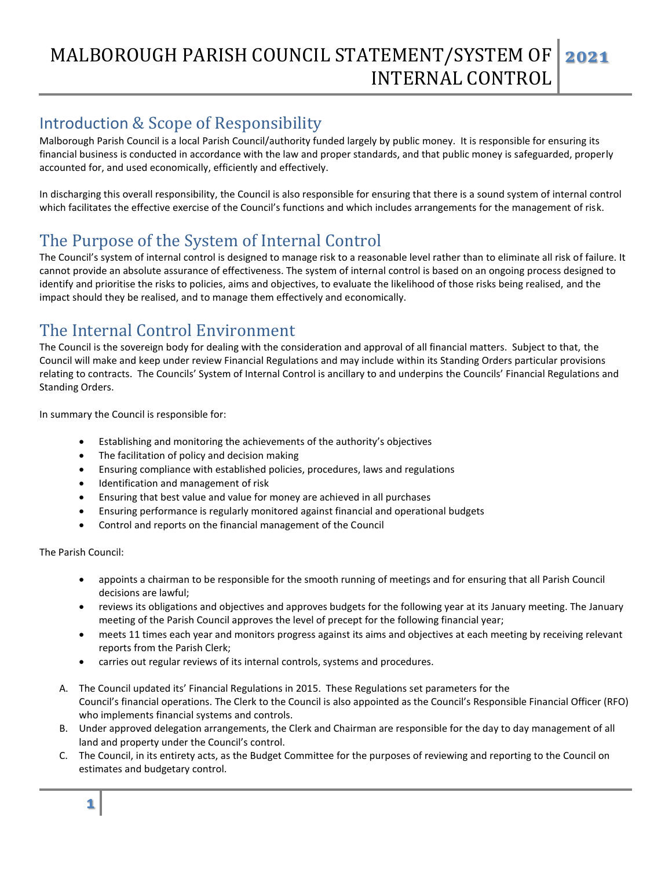### MALBOROUGH PARISH COUNCIL STATEMENT/SYSTEM OF INTERNAL CONTROL **2021**

# Introduction & Scope of Responsibility

Malborough Parish Council is a local Parish Council/authority funded largely by public money. It is responsible for ensuring its financial business is conducted in accordance with the law and proper standards, and that public money is safeguarded, properly accounted for, and used economically, efficiently and effectively.

In discharging this overall responsibility, the Council is also responsible for ensuring that there is a sound system of internal control which facilitates the effective exercise of the Council's functions and which includes arrangements for the management of risk.

# The Purpose of the System of Internal Control

The Council's system of internal control is designed to manage risk to a reasonable level rather than to eliminate all risk of failure. It cannot provide an absolute assurance of effectiveness. The system of internal control is based on an ongoing process designed to identify and prioritise the risks to policies, aims and objectives, to evaluate the likelihood of those risks being realised, and the impact should they be realised, and to manage them effectively and economically.

## The Internal Control Environment

The Council is the sovereign body for dealing with the consideration and approval of all financial matters. Subject to that, the Council will make and keep under review Financial Regulations and may include within its Standing Orders particular provisions relating to contracts. The Councils' System of Internal Control is ancillary to and underpins the Councils' Financial Regulations and Standing Orders.

In summary the Council is responsible for:

- Establishing and monitoring the achievements of the authority's objectives
- The facilitation of policy and decision making
- Ensuring compliance with established policies, procedures, laws and regulations
- Identification and management of risk
- Ensuring that best value and value for money are achieved in all purchases
- Ensuring performance is regularly monitored against financial and operational budgets
- Control and reports on the financial management of the Council

The Parish Council:

- appoints a chairman to be responsible for the smooth running of meetings and for ensuring that all Parish Council decisions are lawful;
- reviews its obligations and objectives and approves budgets for the following year at its January meeting. The January meeting of the Parish Council approves the level of precept for the following financial year;
- meets 11 times each year and monitors progress against its aims and objectives at each meeting by receiving relevant reports from the Parish Clerk;
- carries out regular reviews of its internal controls, systems and procedures.
- A. The Council updated its' Financial Regulations in 2015. These Regulations set parameters for the Council's financial operations. The Clerk to the Council is also appointed as the Council's Responsible Financial Officer (RFO) who implements financial systems and controls.
- B. Under approved delegation arrangements, the Clerk and Chairman are responsible for the day to day management of all land and property under the Council's control.
- C. The Council, in its entirety acts, as the Budget Committee for the purposes of reviewing and reporting to the Council on estimates and budgetary control.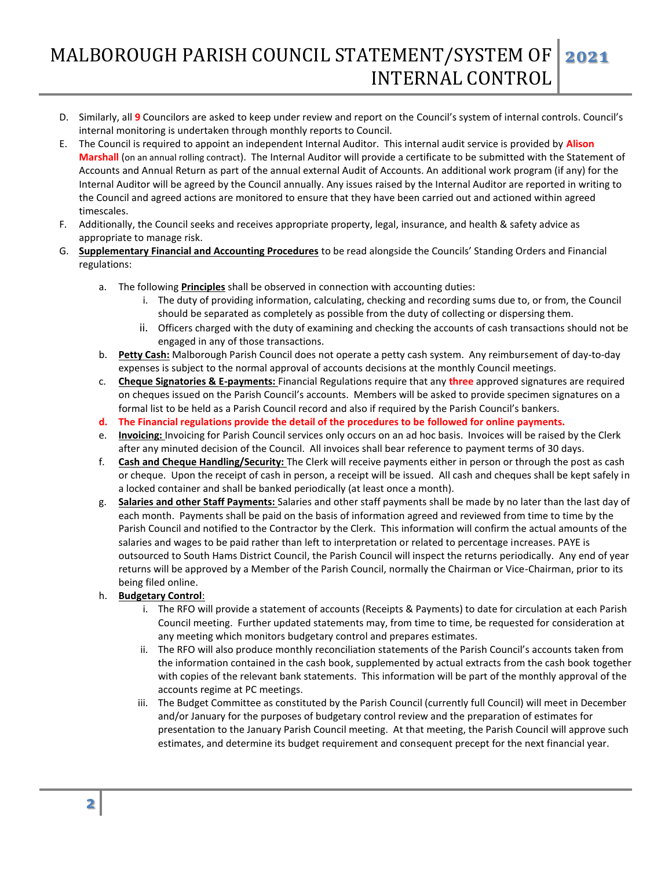### MALBOROUGH PARISH COUNCIL STATEMENT/SYSTEM OF INTERNAL CONTROL **2021**

- D. Similarly, all **9** Councilors are asked to keep under review and report on the Council's system of internal controls. Council's internal monitoring is undertaken through monthly reports to Council.
- E. The Council is required to appoint an independent Internal Auditor. This internal audit service is provided by **Alison Marshall** (on an annual rolling contract). The Internal Auditor will provide a certificate to be submitted with the Statement of Accounts and Annual Return as part of the annual external Audit of Accounts. An additional work program (if any) for the Internal Auditor will be agreed by the Council annually. Any issues raised by the Internal Auditor are reported in writing to the Council and agreed actions are monitored to ensure that they have been carried out and actioned within agreed timescales.
- F. Additionally, the Council seeks and receives appropriate property, legal, insurance, and health & safety advice as appropriate to manage risk.
- G. **Supplementary Financial and Accounting Procedures** to be read alongside the Councils' Standing Orders and Financial regulations:
	- a. The following **Principles** shall be observed in connection with accounting duties:
		- i. The duty of providing information, calculating, checking and recording sums due to, or from, the Council should be separated as completely as possible from the duty of collecting or dispersing them.
		- ii. Officers charged with the duty of examining and checking the accounts of cash transactions should not be engaged in any of those transactions.
	- b. **Petty Cash:** Malborough Parish Council does not operate a petty cash system. Any reimbursement of day-to-day expenses is subject to the normal approval of accounts decisions at the monthly Council meetings.
	- c. **Cheque Signatories & E-payments:** Financial Regulations require that any **three** approved signatures are required on cheques issued on the Parish Council's accounts. Members will be asked to provide specimen signatures on a formal list to be held as a Parish Council record and also if required by the Parish Council's bankers.
	- **d. The Financial regulations provide the detail of the procedures to be followed for online payments.**
	- e. **Invoicing:** Invoicing for Parish Council services only occurs on an ad hoc basis. Invoices will be raised by the Clerk after any minuted decision of the Council. All invoices shall bear reference to payment terms of 30 days.
	- f. **Cash and Cheque Handling/Security:** The Clerk will receive payments either in person or through the post as cash or cheque. Upon the receipt of cash in person, a receipt will be issued. All cash and cheques shall be kept safely in a locked container and shall be banked periodically (at least once a month).
	- g. **Salaries and other Staff Payments:** Salaries and other staff payments shall be made by no later than the last day of each month. Payments shall be paid on the basis of information agreed and reviewed from time to time by the Parish Council and notified to the Contractor by the Clerk. This information will confirm the actual amounts of the salaries and wages to be paid rather than left to interpretation or related to percentage increases. PAYE is outsourced to South Hams District Council, the Parish Council will inspect the returns periodically. Any end of year returns will be approved by a Member of the Parish Council, normally the Chairman or Vice-Chairman, prior to its being filed online.
	- h. **Budgetary Control**:
		- i. The RFO will provide a statement of accounts (Receipts & Payments) to date for circulation at each Parish Council meeting. Further updated statements may, from time to time, be requested for consideration at any meeting which monitors budgetary control and prepares estimates.
		- ii. The RFO will also produce monthly reconciliation statements of the Parish Council's accounts taken from the information contained in the cash book, supplemented by actual extracts from the cash book together with copies of the relevant bank statements. This information will be part of the monthly approval of the accounts regime at PC meetings.
		- iii. The Budget Committee as constituted by the Parish Council (currently full Council) will meet in December and/or January for the purposes of budgetary control review and the preparation of estimates for presentation to the January Parish Council meeting. At that meeting, the Parish Council will approve such estimates, and determine its budget requirement and consequent precept for the next financial year.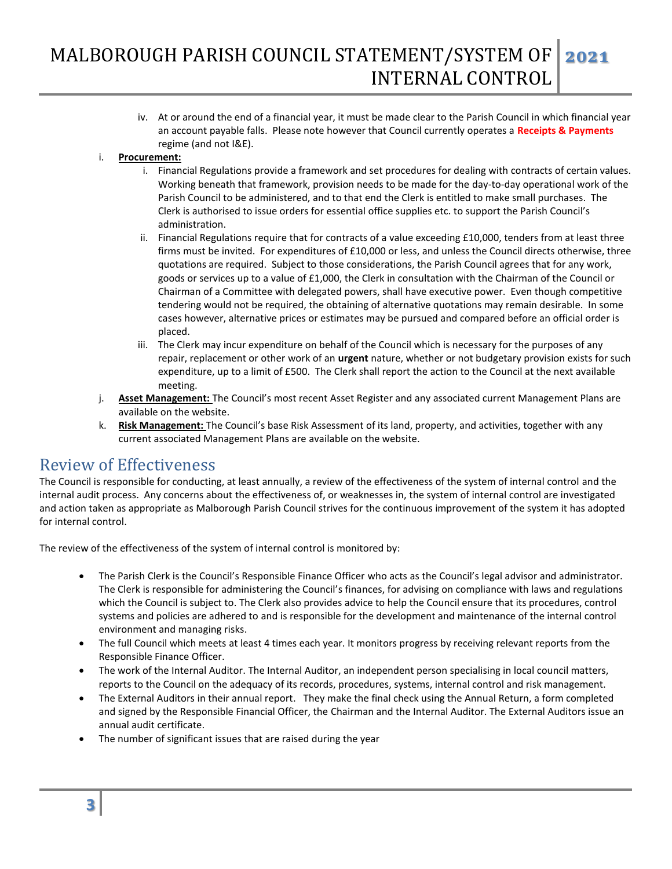iv. At or around the end of a financial year, it must be made clear to the Parish Council in which financial year an account payable falls. Please note however that Council currently operates a **Receipts & Payments** regime (and not I&E).

#### i. **Procurement:**

- i. Financial Regulations provide a framework and set procedures for dealing with contracts of certain values. Working beneath that framework, provision needs to be made for the day-to-day operational work of the Parish Council to be administered, and to that end the Clerk is entitled to make small purchases. The Clerk is authorised to issue orders for essential office supplies etc. to support the Parish Council's administration.
- ii. Financial Regulations require that for contracts of a value exceeding £10,000, tenders from at least three firms must be invited. For expenditures of £10,000 or less, and unless the Council directs otherwise, three quotations are required. Subject to those considerations, the Parish Council agrees that for any work, goods or services up to a value of £1,000, the Clerk in consultation with the Chairman of the Council or Chairman of a Committee with delegated powers, shall have executive power. Even though competitive tendering would not be required, the obtaining of alternative quotations may remain desirable. In some cases however, alternative prices or estimates may be pursued and compared before an official order is placed.
- iii. The Clerk may incur expenditure on behalf of the Council which is necessary for the purposes of any repair, replacement or other work of an **urgent** nature, whether or not budgetary provision exists for such expenditure, up to a limit of £500. The Clerk shall report the action to the Council at the next available meeting.
- j. **Asset Management:** The Council's most recent Asset Register and any associated current Management Plans are available on the website.
- k. **Risk Management:** The Council's base Risk Assessment of its land, property, and activities, together with any current associated Management Plans are available on the website.

## Review of Effectiveness

The Council is responsible for conducting, at least annually, a review of the effectiveness of the system of internal control and the internal audit process. Any concerns about the effectiveness of, or weaknesses in, the system of internal control are investigated and action taken as appropriate as Malborough Parish Council strives for the continuous improvement of the system it has adopted for internal control.

The review of the effectiveness of the system of internal control is monitored by:

- The Parish Clerk is the Council's Responsible Finance Officer who acts as the Council's legal advisor and administrator. The Clerk is responsible for administering the Council's finances, for advising on compliance with laws and regulations which the Council is subject to. The Clerk also provides advice to help the Council ensure that its procedures, control systems and policies are adhered to and is responsible for the development and maintenance of the internal control environment and managing risks.
- The full Council which meets at least 4 times each year. It monitors progress by receiving relevant reports from the Responsible Finance Officer.
- The work of the Internal Auditor. The Internal Auditor, an independent person specialising in local council matters, reports to the Council on the adequacy of its records, procedures, systems, internal control and risk management.
- The External Auditors in their annual report. They make the final check using the Annual Return, a form completed and signed by the Responsible Financial Officer, the Chairman and the Internal Auditor. The External Auditors issue an annual audit certificate.
- The number of significant issues that are raised during the year